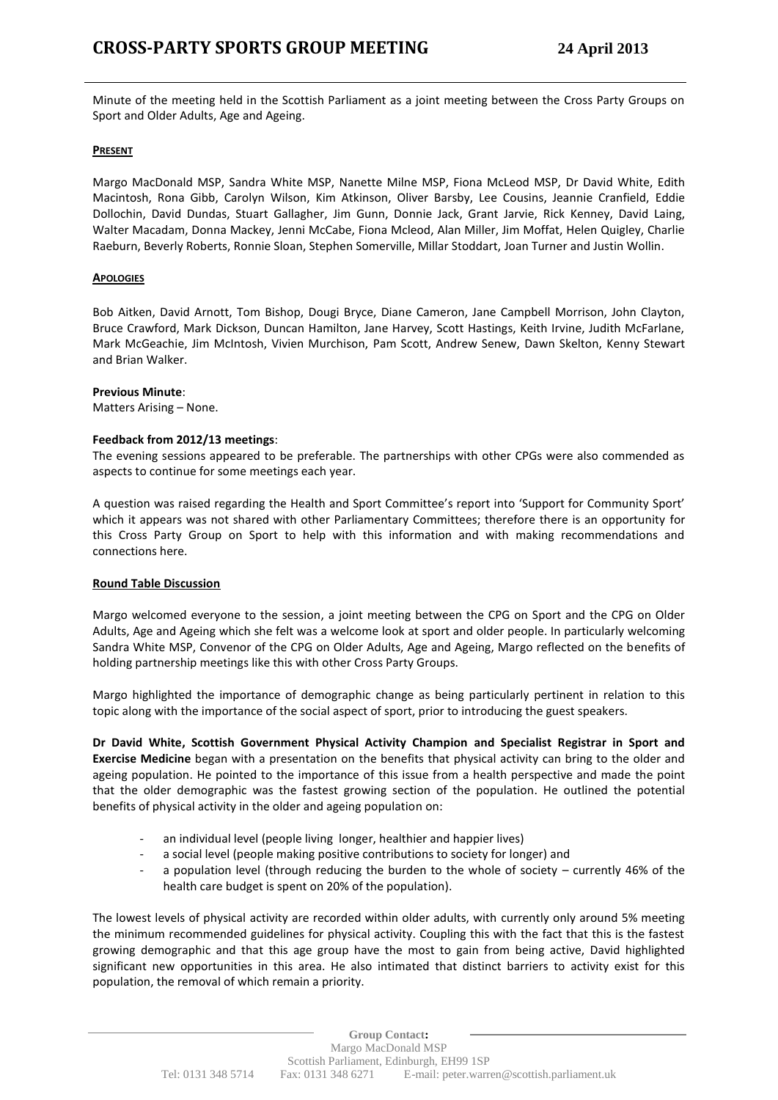Minute of the meeting held in the Scottish Parliament as a joint meeting between the Cross Party Groups on Sport and Older Adults, Age and Ageing.

# **PRESENT**

Margo MacDonald MSP, Sandra White MSP, Nanette Milne MSP, Fiona McLeod MSP, Dr David White, Edith Macintosh, Rona Gibb, Carolyn Wilson, Kim Atkinson, Oliver Barsby, Lee Cousins, Jeannie Cranfield, Eddie Dollochin, David Dundas, Stuart Gallagher, Jim Gunn, Donnie Jack, Grant Jarvie, Rick Kenney, David Laing, Walter Macadam, Donna Mackey, Jenni McCabe, Fiona Mcleod, Alan Miller, Jim Moffat, Helen Quigley, Charlie Raeburn, Beverly Roberts, Ronnie Sloan, Stephen Somerville, Millar Stoddart, Joan Turner and Justin Wollin.

# **APOLOGIES**

Bob Aitken, David Arnott, Tom Bishop, Dougi Bryce, Diane Cameron, Jane Campbell Morrison, John Clayton, Bruce Crawford, Mark Dickson, Duncan Hamilton, Jane Harvey, Scott Hastings, Keith Irvine, Judith McFarlane, Mark McGeachie, Jim McIntosh, Vivien Murchison, Pam Scott, Andrew Senew, Dawn Skelton, Kenny Stewart and Brian Walker.

### **Previous Minute**:

Matters Arising – None.

# **Feedback from 2012/13 meetings**:

The evening sessions appeared to be preferable. The partnerships with other CPGs were also commended as aspects to continue for some meetings each year.

A question was raised regarding the Health and Sport Committee's report into 'Support for Community Sport' which it appears was not shared with other Parliamentary Committees; therefore there is an opportunity for this Cross Party Group on Sport to help with this information and with making recommendations and connections here.

### **Round Table Discussion**

Margo welcomed everyone to the session, a joint meeting between the CPG on Sport and the CPG on Older Adults, Age and Ageing which she felt was a welcome look at sport and older people. In particularly welcoming Sandra White MSP, Convenor of the CPG on Older Adults, Age and Ageing, Margo reflected on the benefits of holding partnership meetings like this with other Cross Party Groups.

Margo highlighted the importance of demographic change as being particularly pertinent in relation to this topic along with the importance of the social aspect of sport, prior to introducing the guest speakers.

**Dr David White, Scottish Government Physical Activity Champion and Specialist Registrar in Sport and Exercise Medicine** began with a presentation on the benefits that physical activity can bring to the older and ageing population. He pointed to the importance of this issue from a health perspective and made the point that the older demographic was the fastest growing section of the population. He outlined the potential benefits of physical activity in the older and ageing population on:

- an individual level (people living longer, healthier and happier lives)
- a social level (people making positive contributions to society for longer) and
- a population level (through reducing the burden to the whole of society  $-$  currently 46% of the health care budget is spent on 20% of the population).

The lowest levels of physical activity are recorded within older adults, with currently only around 5% meeting the minimum recommended guidelines for physical activity. Coupling this with the fact that this is the fastest growing demographic and that this age group have the most to gain from being active, David highlighted significant new opportunities in this area. He also intimated that distinct barriers to activity exist for this population, the removal of which remain a priority.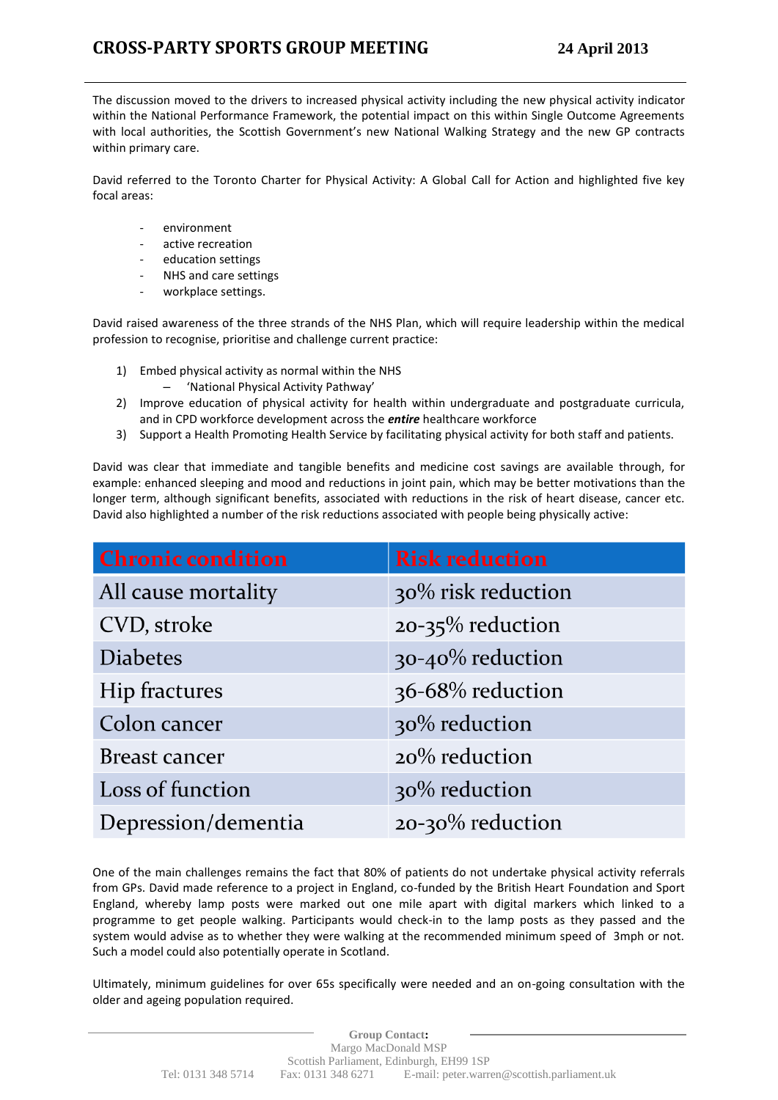The discussion moved to the drivers to increased physical activity including the new physical activity indicator within the National Performance Framework, the potential impact on this within Single Outcome Agreements with local authorities, the Scottish Government's new National Walking Strategy and the new GP contracts within primary care.

David referred to the Toronto Charter for Physical Activity: A Global Call for Action and highlighted five key focal areas:

- environment
- active recreation
- education settings
- NHS and care settings
- workplace settings.

David raised awareness of the three strands of the NHS Plan, which will require leadership within the medical profession to recognise, prioritise and challenge current practice:

- 1) Embed physical activity as normal within the NHS
	- 'National Physical Activity Pathway'
- 2) Improve education of physical activity for health within undergraduate and postgraduate curricula, and in CPD workforce development across the *entire* healthcare workforce
- 3) Support a Health Promoting Health Service by facilitating physical activity for both staff and patients.

David was clear that immediate and tangible benefits and medicine cost savings are available through, for example: enhanced sleeping and mood and reductions in joint pain, which may be better motivations than the longer term, although significant benefits, associated with reductions in the risk of heart disease, cancer etc. David also highlighted a number of the risk reductions associated with people being physically active:

| <b>Chronic condition</b> | <b>Risk reduction</b> |
|--------------------------|-----------------------|
| All cause mortality      | 30% risk reduction    |
| CVD, stroke              | 20-35% reduction      |
| <b>Diabetes</b>          | 30-40% reduction      |
| Hip fractures            | 36-68% reduction      |
| Colon cancer             | 30% reduction         |
| Breast cancer            | 20% reduction         |
| Loss of function         | 30% reduction         |
| Depression/dementia      | 20-30% reduction      |

One of the main challenges remains the fact that 80% of patients do not undertake physical activity referrals from GPs. David made reference to a project in England, co-funded by the British Heart Foundation and Sport England, whereby lamp posts were marked out one mile apart with digital markers which linked to a programme to get people walking. Participants would check-in to the lamp posts as they passed and the system would advise as to whether they were walking at the recommended minimum speed of 3mph or not. Such a model could also potentially operate in Scotland.

Ultimately, minimum guidelines for over 65s specifically were needed and an on-going consultation with the older and ageing population required.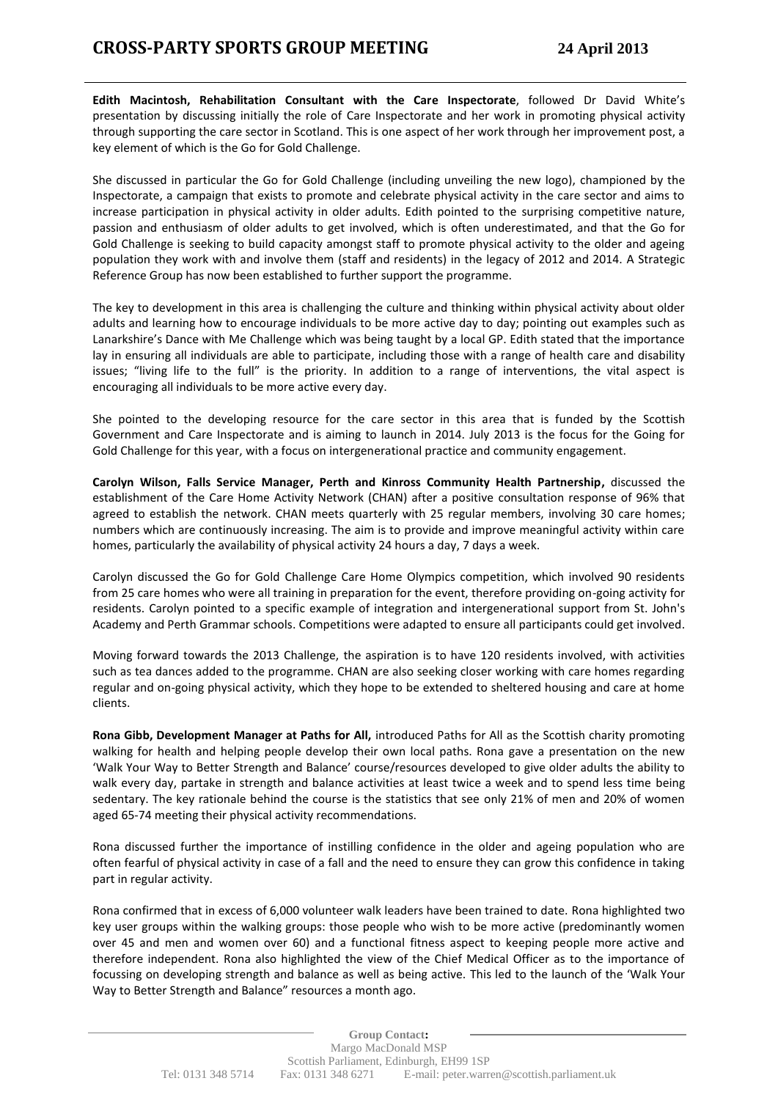**Edith Macintosh, Rehabilitation Consultant with the Care Inspectorate**, followed Dr David White's presentation by discussing initially the role of Care Inspectorate and her work in promoting physical activity through supporting the care sector in Scotland. This is one aspect of her work through her improvement post, a key element of which is the Go for Gold Challenge.

She discussed in particular the Go for Gold Challenge (including unveiling the new logo), championed by the Inspectorate, a campaign that exists to promote and celebrate physical activity in the care sector and aims to increase participation in physical activity in older adults. Edith pointed to the surprising competitive nature, passion and enthusiasm of older adults to get involved, which is often underestimated, and that the Go for Gold Challenge is seeking to build capacity amongst staff to promote physical activity to the older and ageing population they work with and involve them (staff and residents) in the legacy of 2012 and 2014. A Strategic Reference Group has now been established to further support the programme.

The key to development in this area is challenging the culture and thinking within physical activity about older adults and learning how to encourage individuals to be more active day to day; pointing out examples such as Lanarkshire's Dance with Me Challenge which was being taught by a local GP. Edith stated that the importance lay in ensuring all individuals are able to participate, including those with a range of health care and disability issues; "living life to the full" is the priority. In addition to a range of interventions, the vital aspect is encouraging all individuals to be more active every day.

She pointed to the developing resource for the care sector in this area that is funded by the Scottish Government and Care Inspectorate and is aiming to launch in 2014. July 2013 is the focus for the Going for Gold Challenge for this year, with a focus on intergenerational practice and community engagement.

**Carolyn Wilson, Falls Service Manager, Perth and Kinross Community Health Partnership,** discussed the establishment of the Care Home Activity Network (CHAN) after a positive consultation response of 96% that agreed to establish the network. CHAN meets quarterly with 25 regular members, involving 30 care homes; numbers which are continuously increasing. The aim is to provide and improve meaningful activity within care homes, particularly the availability of physical activity 24 hours a day, 7 days a week.

Carolyn discussed the Go for Gold Challenge Care Home Olympics competition, which involved 90 residents from 25 care homes who were all training in preparation for the event, therefore providing on-going activity for residents. Carolyn pointed to a specific example of integration and intergenerational support from St. John's Academy and Perth Grammar schools. Competitions were adapted to ensure all participants could get involved.

Moving forward towards the 2013 Challenge, the aspiration is to have 120 residents involved, with activities such as tea dances added to the programme. CHAN are also seeking closer working with care homes regarding regular and on-going physical activity, which they hope to be extended to sheltered housing and care at home clients.

**Rona Gibb, Development Manager at Paths for All,** introduced Paths for All as the Scottish charity promoting walking for health and helping people develop their own local paths. Rona gave a presentation on the new 'Walk Your Way to Better Strength and Balance' course/resources developed to give older adults the ability to walk every day, partake in strength and balance activities at least twice a week and to spend less time being sedentary. The key rationale behind the course is the statistics that see only 21% of men and 20% of women aged 65-74 meeting their physical activity recommendations.

Rona discussed further the importance of instilling confidence in the older and ageing population who are often fearful of physical activity in case of a fall and the need to ensure they can grow this confidence in taking part in regular activity.

Rona confirmed that in excess of 6,000 volunteer walk leaders have been trained to date. Rona highlighted two key user groups within the walking groups: those people who wish to be more active (predominantly women over 45 and men and women over 60) and a functional fitness aspect to keeping people more active and therefore independent. Rona also highlighted the view of the Chief Medical Officer as to the importance of focussing on developing strength and balance as well as being active. This led to the launch of the 'Walk Your Way to Better Strength and Balance" resources a month ago.